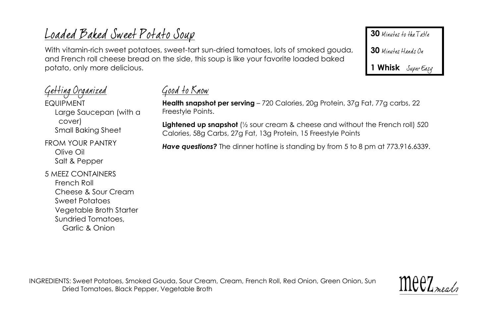# Loaded Baked Sweet Potato Soup

With vitamin-rich sweet potatoes, sweet-tart sun-dried tomatoes, lots of smoked gouda, and French roll cheese bread on the side, this soup is like your favorite loaded baked potato, only more delicious.

30 Minutes to the Table

30 Minutes Hands On

**1 Whisk**

Getting Organized EQUIPMENT Large Saucepan (with a cover) Small Baking Sheet

FROM YOUR PANTRY Olive Oil Salt & Pepper

5 MEEZ CONTAINERS French Roll Cheese & Sour Cream Sweet Potatoes Vegetable Broth Starter Sundried Tomatoes, Garlic & Onion

Good to Know

**Health snapshot per serving** – 720 Calories, 20g Protein, 37g Fat, 77g carbs, 22 Freestyle Points.

**Lightened up snapshot** (½ sour cream & cheese and without the French roll) 520 Calories, 58g Carbs, 27g Fat, 13g Protein, 15 Freestyle Points

Have questions? The dinner hotline is standing by from 5 to 8 pm at 773.916.6339.

INGREDIENTS: Sweet Potatoes, Smoked Gouda, Sour Cream, Cream, French Roll, Red Onion, Green Onion, Sun Dried Tomatoes, Black Pepper, Vegetable Broth